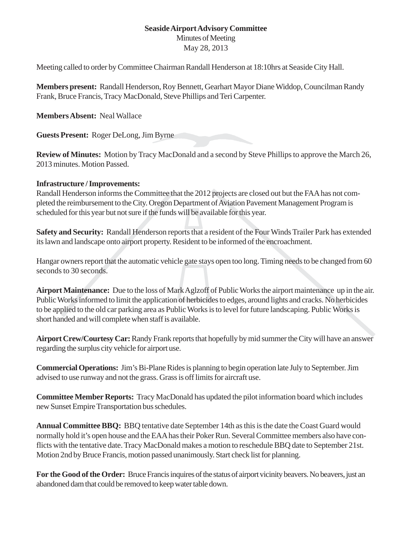## **Seaside Airport Advisory Committee** Minutes of Meeting

May 28, 2013

Meeting called to order by Committee Chairman Randall Henderson at 18:10hrs at Seaside City Hall.

**Members present:** Randall Henderson, Roy Bennett, Gearhart Mayor Diane Widdop, Councilman Randy Frank, Bruce Francis, Tracy MacDonald, Steve Phillips and Teri Carpenter.

## **Members Absent:** Neal Wallace

**Guests Present:** Roger DeLong, Jim Byrne

**Review of Minutes:** Motion by Tracy MacDonald and a second by Steve Phillips to approve the March 26, 2013 minutes. Motion Passed.

## **Infrastructure / Improvements:**

Randall Henderson informs the Committee that the 2012 projects are closed out but the FAA has not completed the reimbursement to the City. Oregon Department of Aviation Pavement Management Program is scheduled for this year but not sure if the funds will be available for this year.

**Safety and Security:** Randall Henderson reports that a resident of the Four Winds Trailer Park has extended its lawn and landscape onto airport property. Resident to be informed of the encroachment.

Hangar owners report that the automatic vehicle gate stays open too long. Timing needs to be changed from 60 seconds to 30 seconds.

**Airport Maintenance:** Due to the loss of Mark Aglzoff of Public Works the airport maintenance up in the air. Public Works informed to limit the application of herbicides to edges, around lights and cracks. No herbicides to be applied to the old car parking area as Public Works is to level for future landscaping. Public Works is short handed and will complete when staff is available.

**Airport Crew/Courtesy Car:** Randy Frank reports that hopefully by mid summer the City will have an answer regarding the surplus city vehicle for airport use.

**Commercial Operations:** Jim's Bi-Plane Rides is planning to begin operation late July to September. Jim advised to use runway and not the grass. Grass is off limits for aircraft use.

**Committee Member Reports:** Tracy MacDonald has updated the pilot information board which includes new Sunset Empire Transportation bus schedules.

**Annual Committee BBQ:** BBQ tentative date September 14th as this is the date the Coast Guard would normally hold it's open house and the EAA has their Poker Run. Several Committee members also have conflicts with the tentative date. Tracy MacDonald makes a motion to reschedule BBQ date to September 21st. Motion 2nd by Bruce Francis, motion passed unanimously. Start check list for planning.

**For the Good of the Order:** Bruce Francis inquires of the status of airport vicinity beavers. No beavers, just an abandoned dam that could be removed to keep water table down.